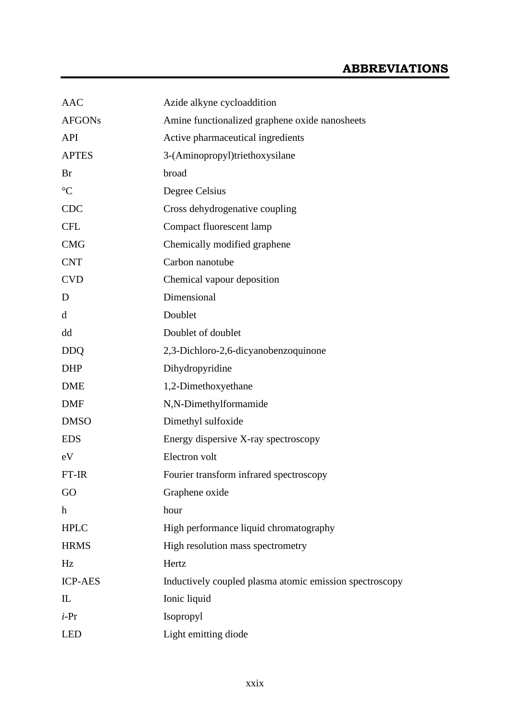| <b>AAC</b>                | Azide alkyne cycloaddition                              |  |
|---------------------------|---------------------------------------------------------|--|
| <b>AFGONs</b>             | Amine functionalized graphene oxide nanosheets          |  |
| <b>API</b>                | Active pharmaceutical ingredients                       |  |
| <b>APTES</b>              | 3-(Aminopropyl)triethoxysilane                          |  |
| Br                        | broad                                                   |  |
| $\rm ^{\circ}C$           | Degree Celsius                                          |  |
| <b>CDC</b>                | Cross dehydrogenative coupling                          |  |
| <b>CFL</b>                | Compact fluorescent lamp                                |  |
| <b>CMG</b>                | Chemically modified graphene                            |  |
| <b>CNT</b>                | Carbon nanotube                                         |  |
| <b>CVD</b>                | Chemical vapour deposition                              |  |
| D                         | Dimensional                                             |  |
| d                         | Doublet                                                 |  |
| dd                        | Doublet of doublet                                      |  |
| <b>DDQ</b>                | 2,3-Dichloro-2,6-dicyanobenzoquinone                    |  |
| <b>DHP</b>                | Dihydropyridine                                         |  |
| <b>DME</b>                | 1,2-Dimethoxyethane                                     |  |
| <b>DMF</b>                | N,N-Dimethylformamide                                   |  |
| <b>DMSO</b>               | Dimethyl sulfoxide                                      |  |
| <b>EDS</b>                | Energy dispersive X-ray spectroscopy                    |  |
| eV                        | Electron volt                                           |  |
| FT-IR                     | Fourier transform infrared spectroscopy                 |  |
| GO                        | Graphene oxide                                          |  |
| $\boldsymbol{\mathrm{h}}$ | hour                                                    |  |
| <b>HPLC</b>               | High performance liquid chromatography                  |  |
| <b>HRMS</b>               | High resolution mass spectrometry                       |  |
| Hz                        | Hertz                                                   |  |
| <b>ICP-AES</b>            | Inductively coupled plasma atomic emission spectroscopy |  |
| $\mathbf{I}$              | Ionic liquid                                            |  |
| $i$ -Pr                   | Isopropyl                                               |  |
| <b>LED</b>                | Light emitting diode                                    |  |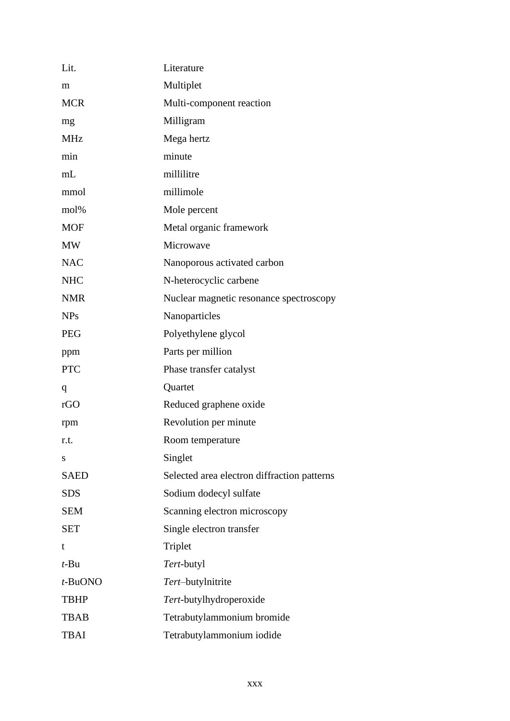| Lit.        | Literature                                  |
|-------------|---------------------------------------------|
| m           | Multiplet                                   |
| <b>MCR</b>  | Multi-component reaction                    |
| mg          | Milligram                                   |
| <b>MHz</b>  | Mega hertz                                  |
| min         | minute                                      |
| mL          | millilitre                                  |
| mmol        | millimole                                   |
| mol%        | Mole percent                                |
| <b>MOF</b>  | Metal organic framework                     |
| MW          | Microwave                                   |
| <b>NAC</b>  | Nanoporous activated carbon                 |
| <b>NHC</b>  | N-heterocyclic carbene                      |
| <b>NMR</b>  | Nuclear magnetic resonance spectroscopy     |
| <b>NPs</b>  | Nanoparticles                               |
| <b>PEG</b>  | Polyethylene glycol                         |
| ppm         | Parts per million                           |
| <b>PTC</b>  | Phase transfer catalyst                     |
| q           | Quartet                                     |
| rGO         | Reduced graphene oxide                      |
| rpm         | Revolution per minute                       |
| r.t.        | Room temperature                            |
| S           | Singlet                                     |
| <b>SAED</b> | Selected area electron diffraction patterns |
| <b>SDS</b>  | Sodium dodecyl sulfate                      |
| <b>SEM</b>  | Scanning electron microscopy                |
| <b>SET</b>  | Single electron transfer                    |
| t           | Triplet                                     |
| $t$ -Bu     | Tert-butyl                                  |
| $t$ -BuONO  | Tert-butylnitrite                           |
| <b>TBHP</b> | Tert-butylhydroperoxide                     |
| <b>TBAB</b> | Tetrabutylammonium bromide                  |
| <b>TBAI</b> | Tetrabutylammonium iodide                   |